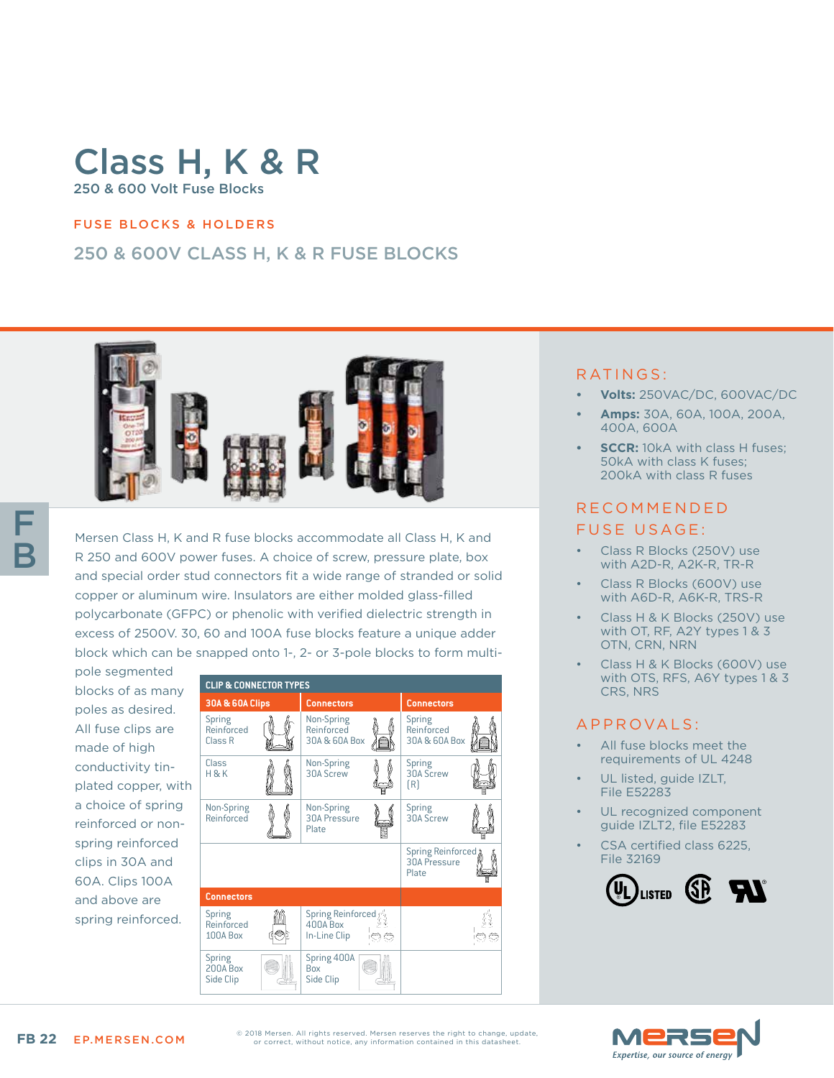# Class H, K & R 250 & 600 Volt Fuse Blocks

#### FUSE BLOCKS & HOLDERS

## 250 & 600V CLASS H, K & R FUSE BLOCKS



Mersen Class H, K and R fuse blocks accommodate all Class H, K and R 250 and 600V power fuses. A choice of screw, pressure plate, box and special order stud connectors fit a wide range of stranded or solid copper or aluminum wire. Insulators are either molded glass-filled polycarbonate (GFPC) or phenolic with verified dielectric strength in excess of 2500V. 30, 60 and 100A fuse blocks feature a unique adder block which can be snapped onto 1-, 2- or 3-pole blocks to form multi-

pole segmented blocks of as many poles as desired. All fuse clips are made of high conductivity tinplated copper, with a choice of spring reinforced or nonspring reinforced clips in 30A and 60A. Clips 100A and above are spring reinforced.



#### RATINGS:

- **• Volts:** 250VAC/DC, 600VAC/DC
- **• Amps:** 30A, 60A, 100A, 200A, 400A, 600A
- *SCCR: 10kA with class H fuses;* 50kA with class K fuses; 200kA with class R fuses

#### R E C O M M E N D E D FUSE USAGE:

- Class R Blocks (250V) use with A2D-R, A2K-R, TR-R
- Class R Blocks (600V) use with A6D-R, A6K-R, TRS-R
- Class H & K Blocks (250V) use with OT, RF, A2Y types 1 & 3 OTN, CRN, NRN
- Class H & K Blocks (600V) use with OTS, RFS, A6Y types 1 & 3 CRS, NRS

#### A P P R OVA L S :

- All fuse blocks meet the requirements of UL 4248
- UL listed, guide IZLT, File E52283
- UL recognized component guide IZLT2, file E52283
- CSA certified class 6225. File 32169



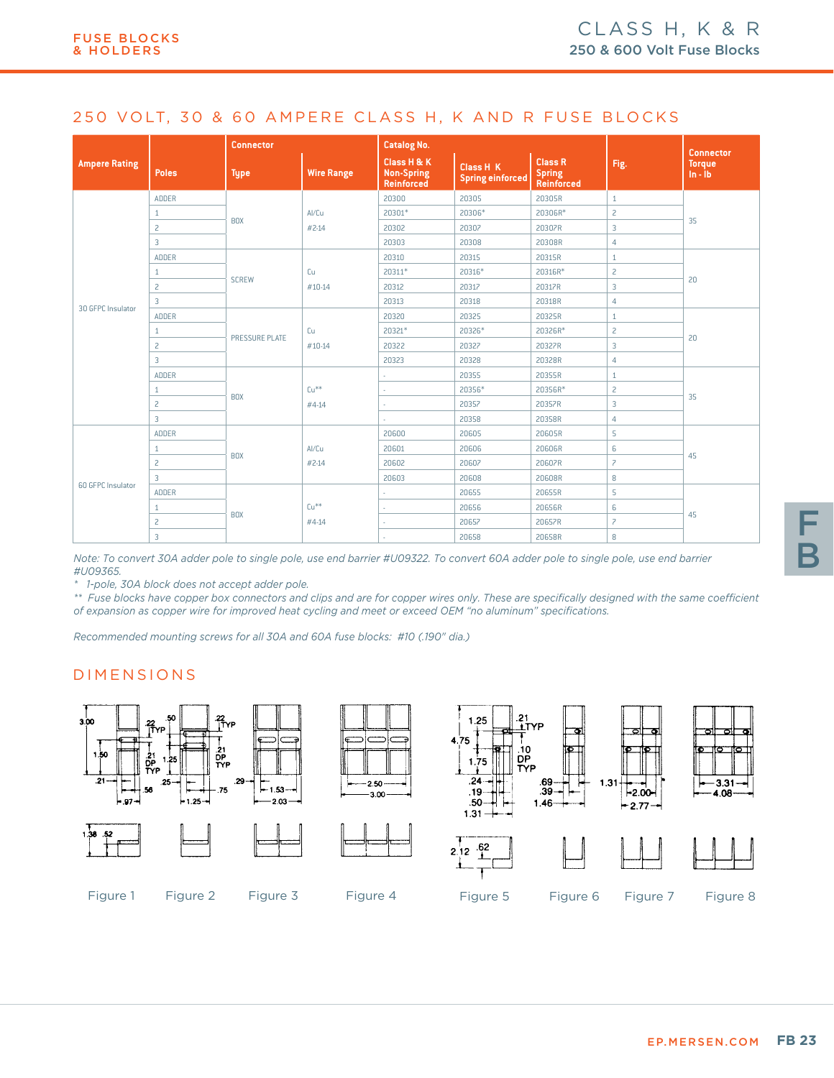#### 250 VOLT, 30 & 60 AMPERE CLASS H, K AND R FUSE BLOCKS

|                      |                | <b>Connector</b> |                   | <b>Catalog No.</b>                                    |                                             |                                                      | <b>Connector</b>         |                            |  |
|----------------------|----------------|------------------|-------------------|-------------------------------------------------------|---------------------------------------------|------------------------------------------------------|--------------------------|----------------------------|--|
| <b>Ampere Rating</b> | Poles          | <b>Type</b>      | <b>Wire Range</b> | Class H & K<br><b>Non-Spring</b><br><b>Reinforced</b> | <b>Class H K</b><br><b>Spring einforced</b> | <b>Class R</b><br><b>Spring</b><br><b>Reinforced</b> | Fig.                     | <b>Torque</b><br>$ln - lb$ |  |
|                      | ADDER          |                  | Al/Cu             | 20300                                                 | 20305                                       | 20305R                                               | $\mathbf{1}$             |                            |  |
|                      | $\mathbf{1}$   | <b>BOX</b>       |                   | 20301*                                                | 20306*                                      | 20306R*                                              | $\overline{c}$           | 35                         |  |
|                      | $\overline{c}$ |                  | #2-14             | 20302                                                 | 20307                                       | 20307R                                               | 3                        |                            |  |
|                      | $\overline{3}$ |                  |                   | 20303                                                 | 20308                                       | 20308R                                               | $\overline{4}$           |                            |  |
|                      | ADDER          |                  | Cu<br>#10-14      | 20310                                                 | 20315                                       | 20315R                                               | $\mathbf{1}$             |                            |  |
|                      | $\mathbf{1}$   |                  |                   | 20311*                                                | 20316*                                      | 20316R*                                              | $\overline{c}$           | 20                         |  |
|                      | $\overline{c}$ | <b>SCREW</b>     |                   | 20312                                                 | 20317                                       | 20317R                                               | 3                        |                            |  |
| 30 GFPC Insulator    | $\overline{3}$ |                  |                   | 20313                                                 | 20318                                       | 20318R                                               | $\overline{4}$           |                            |  |
|                      | ADDER          | PRESSURE PLATE   | Cu<br>#10-14      | 20320                                                 | 20325                                       | 20325R                                               | $\mathbf{1}$             | 20                         |  |
|                      | $\mathbf{1}$   |                  |                   | 20321*                                                | 20326*                                      | 20326R*                                              | $\overline{c}$           |                            |  |
|                      | $\overline{c}$ |                  |                   | 20322                                                 | 20327                                       | 20327R                                               | 3                        |                            |  |
|                      | $\overline{3}$ |                  |                   | 20323                                                 | 20328                                       | 20328R                                               | $\overline{4}$           |                            |  |
|                      | ADDER          |                  | $Cu**$<br>#4-14   | ÷                                                     | 20355                                       | 20355R                                               | $\mathbf{1}$             | 35                         |  |
|                      | $\mathbf{1}$   |                  |                   | ×.                                                    | 20356*                                      | 20356R*                                              | $\overline{c}$           |                            |  |
|                      | $\overline{c}$ | <b>BOX</b>       |                   | ×,                                                    | 20357                                       | 20357R                                               | 3                        |                            |  |
|                      | $\overline{3}$ |                  |                   | ×.                                                    | 20358                                       | 20358R                                               | $\overline{4}$           |                            |  |
|                      | ADDER          |                  |                   | 20600                                                 | 20605                                       | 20605R                                               | 5                        |                            |  |
|                      | $\mathbf{1}$   |                  | Al/Cu             | 20601                                                 | 20606                                       | 20606R                                               | 6                        |                            |  |
|                      | $\overline{c}$ | <b>BOX</b>       | $#2-14$           | 20602                                                 | 20607                                       | 20607R                                               | $\overline{\phantom{0}}$ | 45                         |  |
| 60 GFPC Insulator    | $\overline{3}$ |                  |                   | 20603                                                 | 20608                                       | 20608R                                               | 8                        |                            |  |
|                      | ADDER          |                  |                   | ×.                                                    | 20655                                       | 20655R                                               | 5                        |                            |  |
|                      | $\mathbf{1}$   |                  | $Cu**$            | ×.                                                    | 20656                                       | 20656R                                               | 6                        |                            |  |
|                      | $\overline{c}$ | <b>BOX</b>       | #4-14             | ٠.                                                    | 20657                                       | 20657R                                               | $\overline{\phantom{0}}$ | 45                         |  |
|                      | $\overline{3}$ |                  |                   |                                                       | 20658                                       | 20658R                                               | 8                        |                            |  |

*Note: To convert 30A adder pole to single pole, use end barrier #U09322. To convert 60A adder pole to single pole, use end barrier #U09365.*

*\* 1-pole, 30A block does not accept adder pole.*

*\*\* Fuse blocks have copper box connectors and clips and are for copper wires only. These are specifically designed with the same coefficient of expansion as copper wire for improved heat cycling and meet or exceed OEM "no aluminum" specifications.*

*Recommended mounting screws for all 30A and 60A fuse blocks: #10 (.190" dia.)*

#### DIMENSIONS

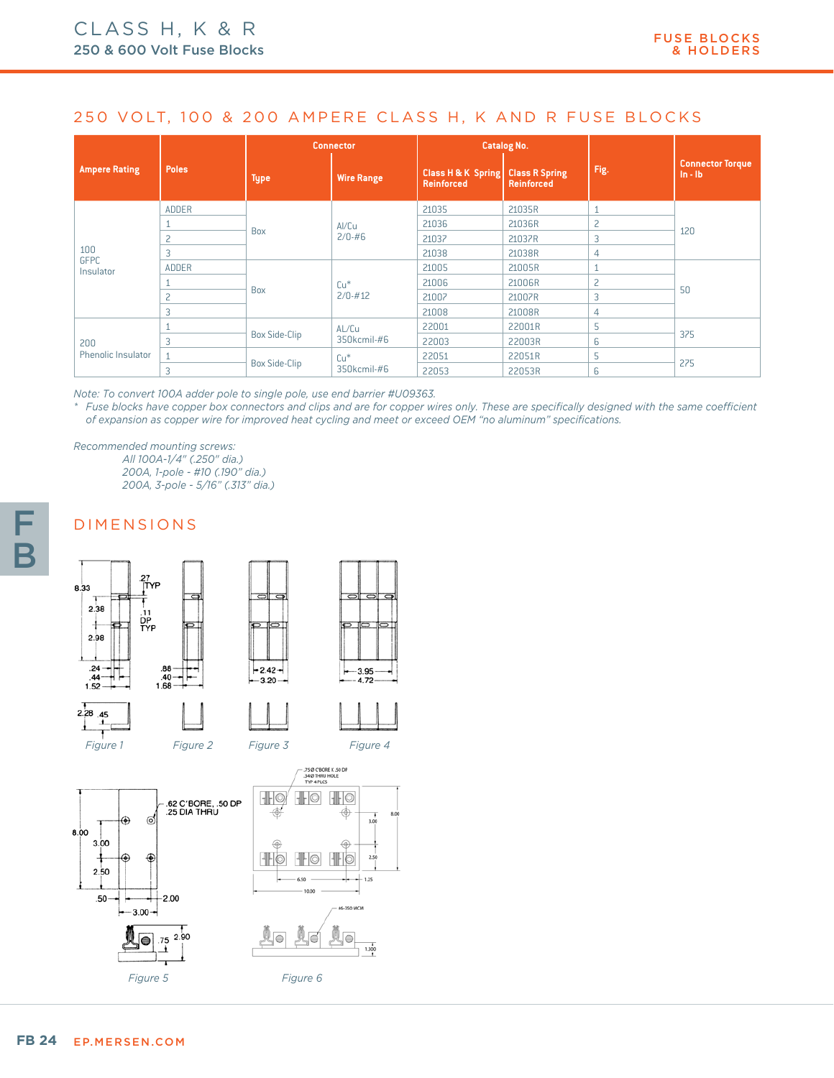## 250 VOLT, 100 & 200 AMPERE CLASS H, K AND R FUSE BLOCKS

|                           |              | <b>Connector</b>     |                      | <b>Catalog No.</b>                      |                                            |                |                                        |
|---------------------------|--------------|----------------------|----------------------|-----------------------------------------|--------------------------------------------|----------------|----------------------------------------|
| <b>Ampere Rating</b>      | <b>Poles</b> | <b>Type</b>          | <b>Wire Range</b>    | Class H & K Spring<br><b>Reinforced</b> | <b>Class R Spring</b><br><b>Reinforced</b> | Fig.           | <b>Connector Torque</b><br>$\ln - \ln$ |
|                           | <b>ADDER</b> | Box                  | Al/Cu<br>$2/0 - #6$  | 21035                                   | 21035R                                     |                | 120                                    |
|                           |              |                      |                      | 21036                                   | 21036R                                     | $\overline{c}$ |                                        |
|                           | 2            |                      |                      | 21037                                   | 21037R                                     | 3              |                                        |
| 100                       | 3            |                      |                      | 21038                                   | 21038R                                     | 4              |                                        |
| <b>GFPC</b><br>Insulator  | <b>ADDER</b> | Box                  | $Cu*$<br>$2/0 - #12$ | 21005                                   | 21005R                                     |                | 50                                     |
|                           |              |                      |                      | 21006                                   | 21006R                                     | 2              |                                        |
|                           | 2            |                      |                      | 21007                                   | 21007R                                     | 3              |                                        |
|                           | 3            |                      |                      | 21008                                   | 21008R                                     | 4              |                                        |
|                           |              |                      | AL/Cu<br>350kcmil-#6 | 22001                                   | 22001R                                     | 5              | 375                                    |
| 200<br>Phenolic Insulator | 3            | <b>Box Side-Clip</b> |                      | 22003                                   | 22003R                                     | 6              |                                        |
|                           | $\mathbf{1}$ |                      | $Cu*$                | 22051                                   | 22051R                                     | 5              | 275                                    |
|                           | 3            | <b>Box Side-Clip</b> | 350kcmil-#6          | 22053                                   | 22053R                                     | 6              |                                        |

*Note: To convert 100A adder pole to single pole, use end barrier #U09363.* 

*\* Fuse blocks have copper box connectors and clips and are for copper wires only. These are specifically designed with the same coefficient of expansion as copper wire for improved heat cycling and meet or exceed OEM "no aluminum" specifications.*

*Recommended mounting screws:*

*All 100A-1/4" (.250" dia.) 200A, 1-pole - #10 (.190" dia.) 200A, 3-pole - 5/16" (.313" dia.)*

# DIMENSIONS



| с | ∣੦           | Ō |
|---|--------------|---|
|   | 3.95<br>4.72 |   |









F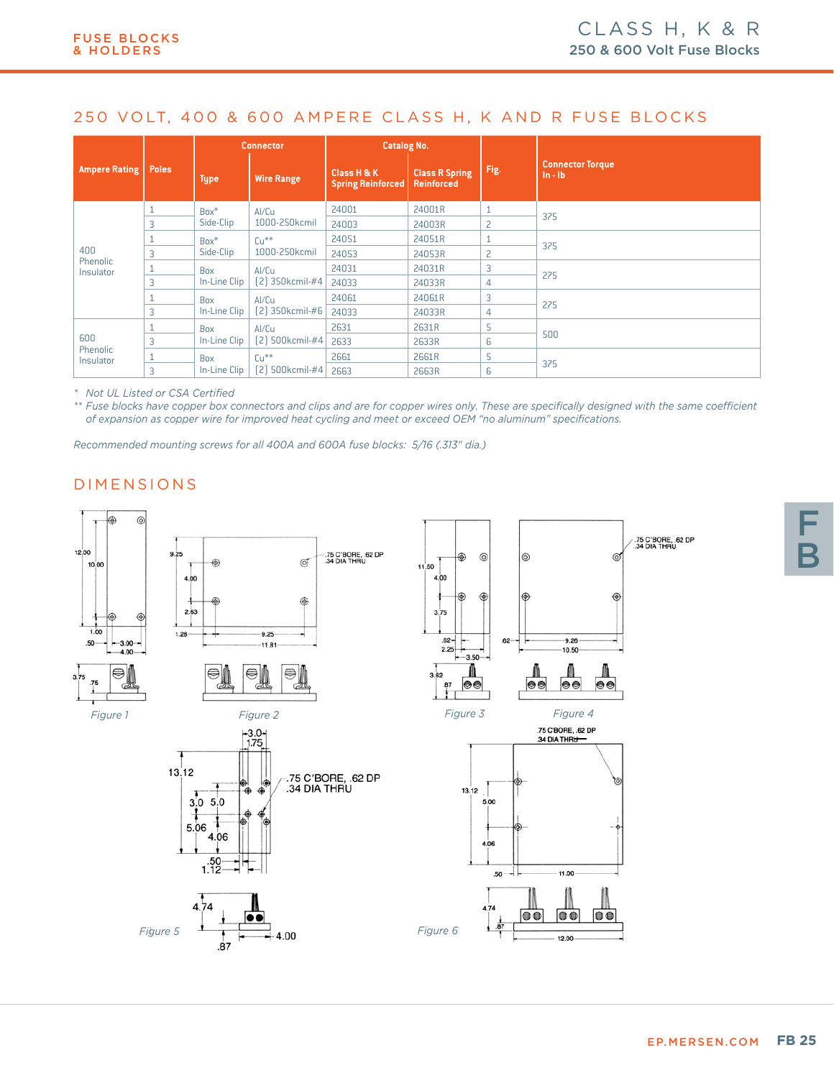# 250 VOLT, 400 & 600 AMPERE CLASS H, K AND R FUSE BLOCKS

|                              |              | <b>Connector</b>           |                          | <b>Catalog No.</b>                      |                                            |      |                                        |  |
|------------------------------|--------------|----------------------------|--------------------------|-----------------------------------------|--------------------------------------------|------|----------------------------------------|--|
| <b>Ampere Rating</b>         | <b>Poles</b> | <b>Type</b>                | <b>Wire Range</b>        | Class H & K<br><b>Spring Reinforced</b> | <b>Class R Spring</b><br><b>Reinforced</b> | Fig. | <b>Connector Torque</b><br>$\ln - \ln$ |  |
|                              |              | $Box^*$                    | Al/Cu                    | 24001                                   | 24001R                                     |      |                                        |  |
| 400<br>Phenolic<br>Insulator | 3            | Side-Clip                  | 1000-250kcmil            | 24003                                   | 24003R                                     | 2    | 375                                    |  |
|                              |              | $Box^*$<br>Side-Clip       | $Cu**$                   | 24051                                   | 24051R                                     |      |                                        |  |
|                              | 3            |                            | 1000-250kcmil            | 24053                                   | 24053R                                     | 2    | 375                                    |  |
|                              |              | <b>Box</b><br>In-Line Clip | Al/Cu                    | 24031                                   | 24031R                                     | 3    |                                        |  |
|                              | 3            |                            | [2] 350kcmil-#4          | 24033                                   | 24033R                                     | 4    | 275                                    |  |
|                              |              | <b>Box</b>                 | Al/Cu<br>[2] 350kcmil-#6 | 24061                                   | 24061R                                     | 3    |                                        |  |
|                              | 3            | In-Line Clip               |                          | 24033                                   | 24033R                                     | 4    | 275                                    |  |
|                              |              | Box                        | Al/Cu<br>[2] 500kcmil-#4 | 2631                                    | 2631R                                      | 5    |                                        |  |
| 600                          | 3            | In-Line Clip               |                          | 2633                                    | 2633R                                      | 6    | 500                                    |  |
| <b>Phenolic</b><br>Insulator |              | Box                        | $Cu**$                   | 2661                                    | 2661R                                      | 5    |                                        |  |
|                              | 3            | In-Line Clip               | [2]<br>500kcmil-#4       | 2663                                    | 2663R                                      | 6    | 375                                    |  |

*\* Not UL Listed or CSA Certified*

*\*\* Fuse blocks have copper box connectors and clips and are for copper wires only. These are specifically designed with the same coefficient of expansion as copper wire for improved heat cycling and meet or exceed OEM "no aluminum" specifications.*

*Recommended mounting screws for all 400A and 600A fuse blocks: 5/16 (.313" dia.)*

# DIMENSIONS

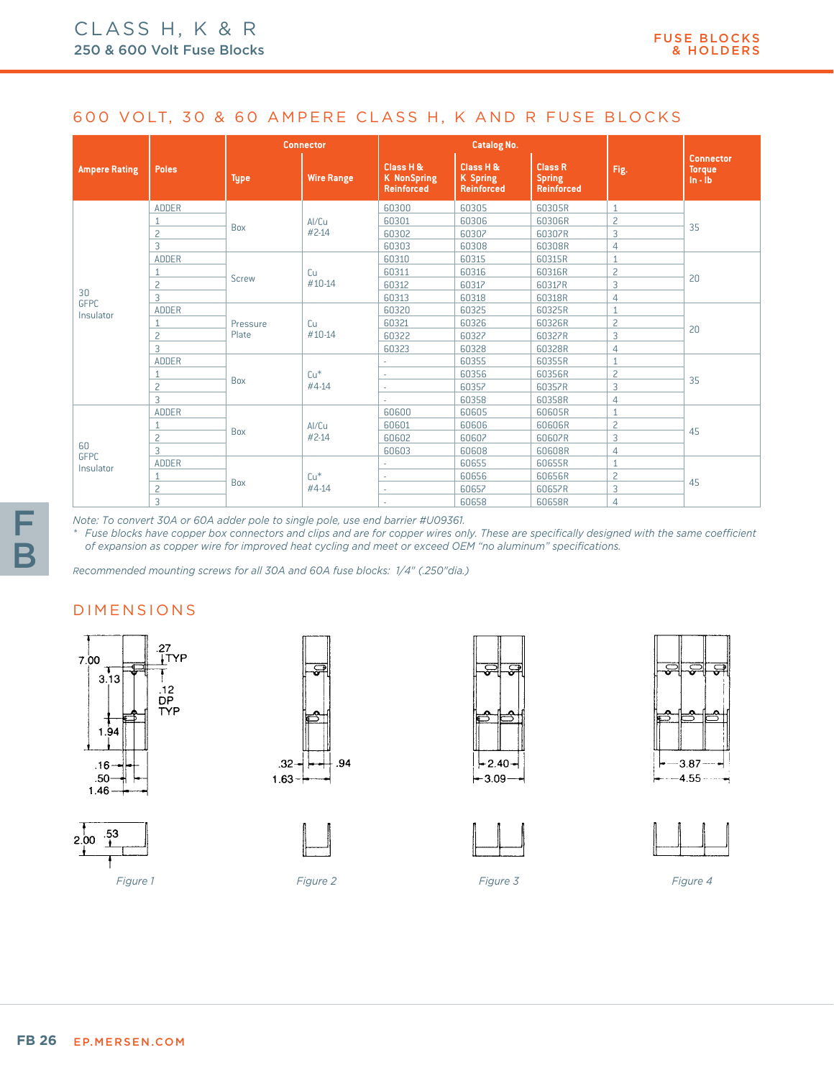### 600 VOLT, 30 & 60 AMPERE CLASS H, K AND R FUSE BLOCKS

|                                |                | <b>Connector</b>  |                   |                                                      | <b>Catalog No.</b>                                |                                                      |                |                                                  |
|--------------------------------|----------------|-------------------|-------------------|------------------------------------------------------|---------------------------------------------------|------------------------------------------------------|----------------|--------------------------------------------------|
| <b>Ampere Rating</b>           | <b>Poles</b>   | <b>Type</b>       | <b>Wire Range</b> | Class H &<br><b>K</b> NonSpring<br><b>Reinforced</b> | Class H &<br><b>K</b> Spring<br><b>Reinforced</b> | <b>Class R</b><br><b>Spring</b><br><b>Reinforced</b> | Fig.           | <b>Connector</b><br><b>Torque</b><br>$\ln - \ln$ |
|                                | <b>ADDER</b>   | <b>Box</b>        | Al/Cu             | 60300                                                | 60305                                             | 60305R                                               | $\mathbf{1}$   |                                                  |
|                                |                |                   |                   | 60301                                                | 60306                                             | 60306R                                               | $\overline{c}$ | 35                                               |
|                                | $\overline{c}$ |                   | $#2-14$           | 60302                                                | 60307                                             | 60307R                                               | 3              |                                                  |
|                                | 3              |                   |                   | 60303                                                | 60308                                             | 60308R                                               | 4              |                                                  |
|                                | ADDER          |                   |                   | 60310                                                | 60315                                             | 60315R                                               | 1              |                                                  |
|                                |                |                   | Cu<br>$#10-14$    | 60311                                                | 60316                                             | 60316R                                               | $\overline{c}$ | 20                                               |
| 30<br><b>GFPC</b><br>Insulator | 2              | <b>Screw</b>      |                   | 60312                                                | 60317                                             | 60317R                                               | 3              |                                                  |
|                                | 3              |                   |                   | 60313                                                | 60318                                             | 60318R                                               | 4              |                                                  |
|                                | <b>ADDER</b>   | Pressure<br>Plate | Cu<br>$#10-14$    | 60320                                                | 60325                                             | 60325R                                               | $\mathbf{1}$   | 20                                               |
|                                |                |                   |                   | 60321                                                | 60326                                             | 60326R                                               | $\overline{c}$ |                                                  |
|                                | $\overline{c}$ |                   |                   | 60322                                                | 60327                                             | 60327R                                               | 3              |                                                  |
|                                | 3              |                   |                   | 60323                                                | 60328                                             | 60328R                                               | $\overline{4}$ |                                                  |
|                                | <b>ADDER</b>   |                   | $Cu*$<br>#4-14    |                                                      | 60355                                             | 60355R                                               | $\mathbf{1}$   | 35                                               |
|                                |                |                   |                   | ÷                                                    | 60356                                             | 60356R                                               | $\overline{c}$ |                                                  |
|                                | $\overline{c}$ | Box               |                   | ٠                                                    | 60357                                             | 60357R                                               | 3              |                                                  |
|                                | 3              |                   |                   | ×.                                                   | 60358                                             | 60358R                                               | 4              |                                                  |
|                                | <b>ADDER</b>   |                   |                   | 60600                                                | 60605                                             | 60605R                                               | 1              | 45                                               |
|                                |                |                   | Al/Cu             | 60601                                                | 60606                                             | 60606R                                               | $\overline{c}$ |                                                  |
|                                | $\overline{c}$ | Box               | $#2-14$           | 60602                                                | 60607                                             | 60607R                                               | 3              |                                                  |
| 60                             | 3              |                   |                   | 60603                                                | 60608                                             | 60608R                                               | 4              |                                                  |
| <b>GFPC</b><br>Insulator       | <b>ADDER</b>   |                   |                   | ÷                                                    | 60655                                             | 60655R                                               | $\mathbf{1}$   |                                                  |
|                                |                |                   | $Cu*$             | $\sim$                                               | 60656                                             | 60656R                                               | $\overline{c}$ | 45                                               |
|                                | $\overline{c}$ | Box               | #4-14             | ×.                                                   | 60657                                             | 60657R                                               | 3              |                                                  |
|                                | 3              |                   |                   |                                                      | 60658                                             | 60658R                                               | $\overline{4}$ |                                                  |

*Note: To convert 30A or 60A adder pole to single pole, use end barrier #U09361.* 

*\* Fuse blocks have copper box connectors and clips and are for copper wires only. These are specifically designed with the same coefficient of expansion as copper wire for improved heat cycling and meet or exceed OEM "no aluminum" specifications.*

*Recommended mounting screws for all 30A and 60A fuse blocks: 1/4" (.250"dia.)*

#### DIMENSIONS

















*Figure 1 Figure 2 Figure 3 Figure 4*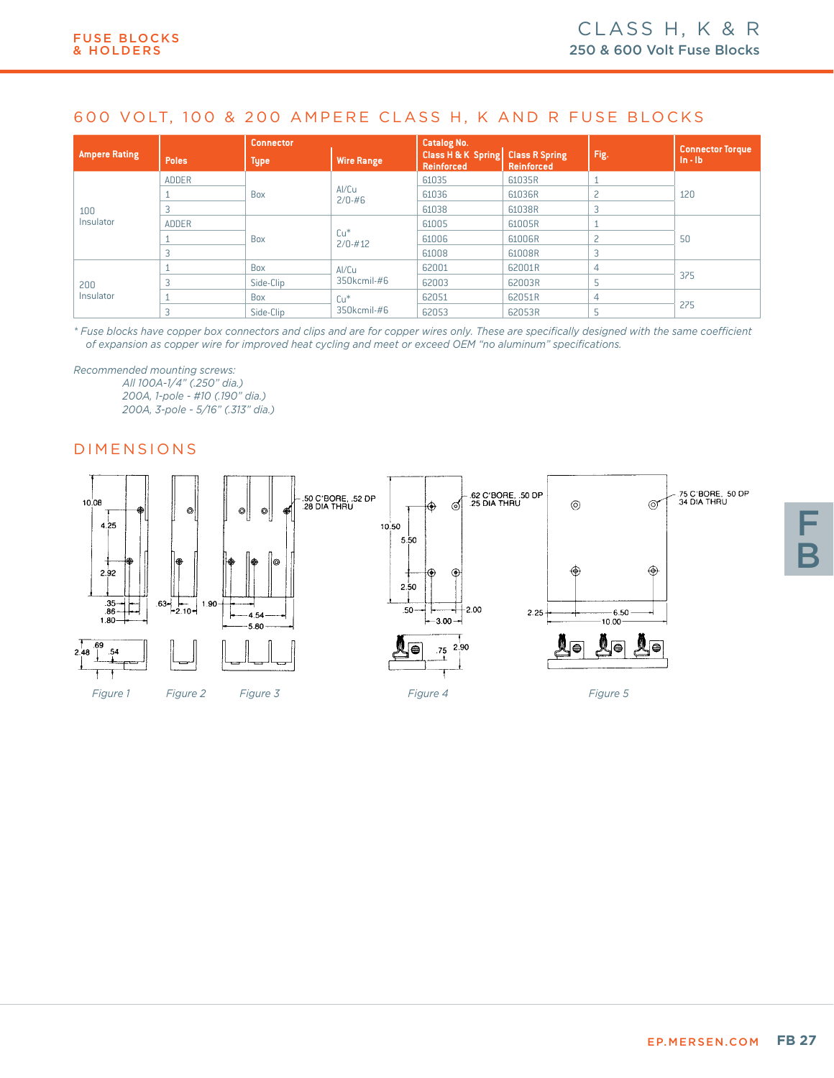# 600 VOLT, 100 & 200 AMPERE CLASS H, K AND R FUSE BLOCKS

|                      |              | <b>Connector</b> |                      | <b>Catalog No.</b>                                                |            |      |                                        |
|----------------------|--------------|------------------|----------------------|-------------------------------------------------------------------|------------|------|----------------------------------------|
| <b>Ampere Rating</b> | <b>Poles</b> | <b>Type</b>      | <b>Wire Range</b>    | <b>Class H &amp; K Spring Class R Spring</b><br><b>Reinforced</b> | Reinforced | Fig. | <b>Connector Torque</b><br>$\ln - \ln$ |
| 100<br>Insulator     | <b>ADDER</b> |                  | Al/Cu<br>$2/0 - #6$  | 61035                                                             | 61035R     |      | 120                                    |
|                      |              | <b>Box</b>       |                      | 61036                                                             | 61036R     |      |                                        |
|                      |              |                  |                      | 61038                                                             | 61038R     |      |                                        |
|                      | <b>ADDER</b> | <b>Box</b>       | $Cu*$<br>$2/0 - #12$ | 61005                                                             | 61005R     |      | 50                                     |
|                      |              |                  |                      | 61006                                                             | 61006R     |      |                                        |
|                      | 3            |                  |                      | 61008                                                             | 61008R     |      |                                        |
| 200<br>Insulator     |              | <b>Box</b>       | Al/Cu                | 62001                                                             | 62001R     | 4    | 375                                    |
|                      | 3            | Side-Clip        | 350kcmil-#6          | 62003                                                             | 62003R     |      |                                        |
|                      |              | <b>Box</b>       | $Cu*$                | 62051                                                             | 62051R     | 4    | 275                                    |
|                      | 3            | Side-Clip        | 350kcmil-#6          | 62053                                                             | 62053R     |      |                                        |

*\* Fuse blocks have copper box connectors and clips and are for copper wires only. These are specifically designed with the same coefficient of expansion as copper wire for improved heat cycling and meet or exceed OEM "no aluminum" specifications.*

*Recommended mounting screws: All 100A-1/4" (.250" dia.) 200A, 1-pole - #10 (.190" dia.) 200A, 3-pole - 5/16" (.313" dia.)*

## DIMENSIONS



F